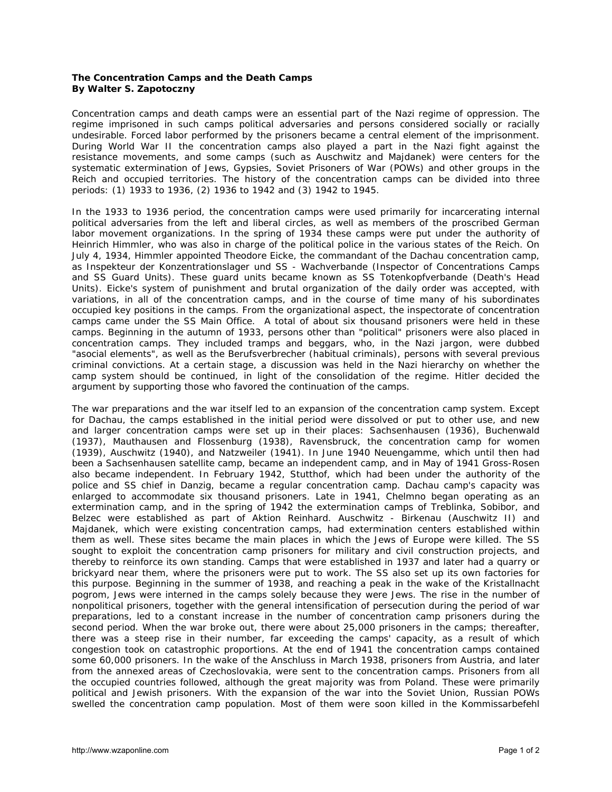## **The Concentration Camps and the Death Camps By Walter S. Zapotoczny**

Concentration camps and death camps were an essential part of the Nazi regime of oppression. The regime imprisoned in such camps political adversaries and persons considered socially or racially undesirable. Forced labor performed by the prisoners became a central element of the imprisonment. During World War II the concentration camps also played a part in the Nazi fight against the resistance movements, and some camps (such as Auschwitz and Majdanek) were centers for the systematic extermination of Jews, Gypsies, Soviet Prisoners of War (POWs) and other groups in the *Reich* and occupied territories. The history of the concentration camps can be divided into three periods: (1) 1933 to 1936, (2) 1936 to 1942 and (3) 1942 to 1945.

In the 1933 to 1936 period, the concentration camps were used primarily for incarcerating internal political adversaries from the left and liberal circles, as well as members of the proscribed German labor movement organizations. In the spring of 1934 these camps were put under the authority of Heinrich Himmler, who was also in charge of the political police in the various states of the Reich. On July 4, 1934, Himmler appointed Theodore Eicke, the commandant of the Dachau concentration camp, as *Inspekteur der Konzentrationslager* und *SS - Wachverbande* (Inspector of Concentrations Camps and *SS* Guard Units). These guard units became known as *SS Totenkopfverbande* (Death's Head Units). Eicke's system of punishment and brutal organization of the daily order was accepted, with variations, in all of the concentration camps, and in the course of time many of his subordinates occupied key positions in the camps. From the organizational aspect, the inspectorate of concentration camps came under the *SS* Main Office. A total of about six thousand prisoners were held in these camps. Beginning in the autumn of 1933, persons other than "political" prisoners were also placed in concentration camps. They included tramps and beggars, who, in the Nazi jargon, were dubbed "asocial elements", as well as the *Berufsverbrecher* (habitual criminals), persons with several previous criminal convictions. At a certain stage, a discussion was held in the Nazi hierarchy on whether the camp system should be continued, in light of the consolidation of the regime. Hitler decided the argument by supporting those who favored the continuation of the camps.

The war preparations and the war itself led to an expansion of the concentration camp system. Except for Dachau, the camps established in the initial period were dissolved or put to other use, and new and larger concentration camps were set up in their places: Sachsenhausen (1936), Buchenwald (1937), Mauthausen and Flossenburg (1938), Ravensbruck, the concentration camp for women (1939), Auschwitz (1940), and Natzweiler (1941). In June 1940 Neuengamme, which until then had been a Sachsenhausen satellite camp, became an independent camp, and in May of 1941 Gross-Rosen also became independent. In February 1942, Stutthof, which had been under the authority of the police and *SS* chief in Danzig, became a regular concentration camp. Dachau camp's capacity was enlarged to accommodate six thousand prisoners. Late in 1941, Chelmno began operating as an extermination camp, and in the spring of 1942 the extermination camps of Treblinka, Sobibor, and Belzec were established as part of Aktion Reinhard. Auschwitz - Birkenau (Auschwitz II) and Majdanek, which were existing concentration camps, had extermination centers established within them as well. These sites became the main places in which the Jews of Europe were killed. The *SS* sought to exploit the concentration camp prisoners for military and civil construction projects, and thereby to reinforce its own standing. Camps that were established in 1937 and later had a quarry or brickyard near them, where the prisoners were put to work. The *SS* also set up its own factories for this purpose. Beginning in the summer of 1938, and reaching a peak in the wake of the Kristallnacht pogrom, Jews were interned in the camps solely because they were Jews. The rise in the number of nonpolitical prisoners, together with the general intensification of persecution during the period of war preparations, led to a constant increase in the number of concentration camp prisoners during the second period. When the war broke out, there were about 25,000 prisoners in the camps; thereafter, there was a steep rise in their number, far exceeding the camps' capacity, as a result of which congestion took on catastrophic proportions. At the end of 1941 the concentration camps contained some 60,000 prisoners. In the wake of the *Anschluss* in March 1938, prisoners from Austria, and later from the annexed areas of Czechoslovakia, were sent to the concentration camps. Prisoners from all the occupied countries followed, although the great majority was from Poland. These were primarily political and Jewish prisoners. With the expansion of the war into the Soviet Union, Russian POWs swelled the concentration camp population. Most of them were soon killed in the *Kommissarbefehl*